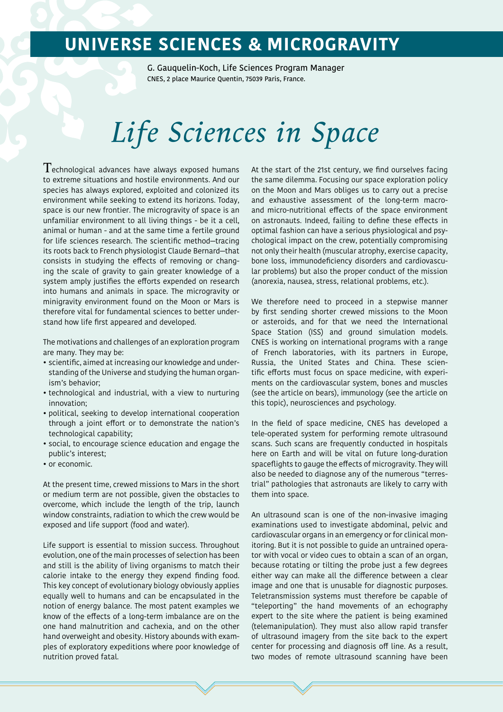## **UNIVERSE SCIENCES & MICROGRAVITY**

G. Gauquelin-Koch, Life Sciences Program Manager CNES, 2 place Maurice Quentin, 75039 Paris, France.

# *Life Sciences in Space*

 $T$ echnological advances have always exposed humans to extreme situations and hostile environments. And our species has always explored, exploited and colonized its environment while seeking to extend its horizons. Today, space is our new frontier. The microgravity of space is an unfamiliar environment to all living things - be it a cell, animal or human - and at the same time a fertile ground for life sciences research. The scientific method—tracing its roots back to French physiologist Claude Bernard—that consists in studying the effects of removing or changing the scale of gravity to gain greater knowledge of a system amply justifies the efforts expended on research into humans and animals in space. The microgravity or minigravity environment found on the Moon or Mars is therefore vital for fundamental sciences to better understand how life first appeared and developed.

The motivations and challenges of an exploration program are many. They may be:

- scientific, aimed at increasing our knowledge and understanding of the Universe and studying the human organism's behavior;
- technological and industrial, with a view to nurturing innovation;
- political, seeking to develop international cooperation through a joint effort or to demonstrate the nation's technological capability;
- social, to encourage science education and engage the public's interest;
- or economic.

At the present time, crewed missions to Mars in the short or medium term are not possible, given the obstacles to overcome, which include the length of the trip, launch window constraints, radiation to which the crew would be exposed and life support (food and water).

Life support is essential to mission success. Throughout evolution, one of the main processes of selection has been and still is the ability of living organisms to match their calorie intake to the energy they expend finding food. This key concept of evolutionary biology obviously applies equally well to humans and can be encapsulated in the notion of energy balance. The most patent examples we know of the effects of a long-term imbalance are on the one hand malnutrition and cachexia, and on the other hand overweight and obesity. History abounds with examples of exploratory expeditions where poor knowledge of nutrition proved fatal.

At the start of the 21st century, we find ourselves facing the same dilemma. Focusing our space exploration policy on the Moon and Mars obliges us to carry out a precise and exhaustive assessment of the long-term macroand micro-nutritional effects of the space environment on astronauts. Indeed, failing to define these effects in optimal fashion can have a serious physiological and psychological impact on the crew, potentially compromising not only their health (muscular atrophy, exercise capacity, bone loss, immunodeficiency disorders and cardiovascular problems) but also the proper conduct of the mission (anorexia, nausea, stress, relational problems, etc.).

We therefore need to proceed in a stepwise manner by first sending shorter crewed missions to the Moon or asteroids, and for that we need the International Space Station (ISS) and ground simulation models. CNES is working on international programs with a range of French laboratories, with its partners in Europe, Russia, the United States and China. These scientific efforts must focus on space medicine, with experiments on the cardiovascular system, bones and muscles (see the article on bears), immunology (see the article on this topic), neurosciences and psychology.

In the field of space medicine, CNES has developed a tele-operated system for performing remote ultrasound scans. Such scans are frequently conducted in hospitals here on Earth and will be vital on future long-duration spaceflights to gauge the effects of microgravity. They will also be needed to diagnose any of the numerous "terrestrial" pathologies that astronauts are likely to carry with them into space.

An ultrasound scan is one of the non-invasive imaging examinations used to investigate abdominal, pelvic and cardiovascular organs in an emergency or for clinical monitoring. But it is not possible to guide an untrained operator with vocal or video cues to obtain a scan of an organ, because rotating or tilting the probe just a few degrees either way can make all the difference between a clear image and one that is unusable for diagnostic purposes. Teletransmission systems must therefore be capable of "teleporting" the hand movements of an echography expert to the site where the patient is being examined (telemanipulation). They must also allow rapid transfer of ultrasound imagery from the site back to the expert center for processing and diagnosis off line. As a result, two modes of remote ultrasound scanning have been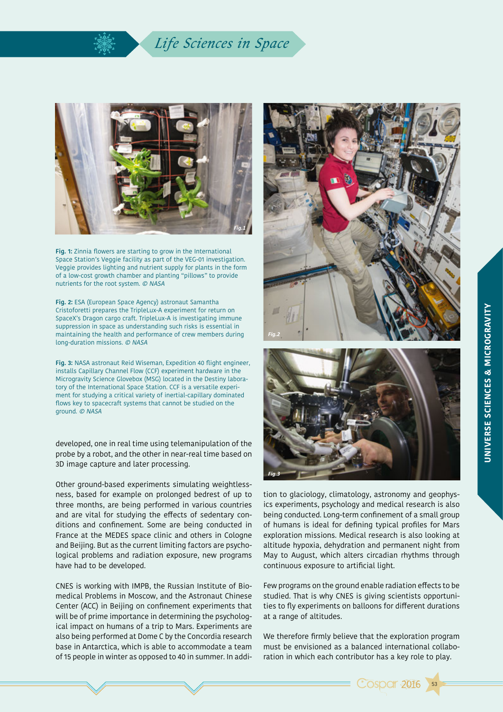### *Life Sciences in Space*



**Fig. 1:** Zinnia flowers are starting to grow in the International Space Station's Veggie facility as part of the VEG-01 investigation. Veggie provides lighting and nutrient supply for plants in the form of a low-cost growth chamber and planting "pillows" to provide nutrients for the root system. © NASA

**Fig. 2:** ESA (European Space Agency) astronaut Samantha Cristoforetti prepares the TripleLux-A experiment for return on SpaceX's Dragon cargo craft. TripleLux-A is investigating immune suppression in space as understanding such risks is essential in maintaining the health and performance of crew members during long-duration missions. © NASA

**Fig. 3:** NASA astronaut Reid Wiseman, Expedition 40 flight engineer, installs Capillary Channel Flow (CCF) experiment hardware in the Microgravity Science Glovebox (MSG) located in the Destiny laboratory of the International Space Station. CCF is a versatile experiment for studying a critical variety of inertial-capillary dominated flows key to spacecraft systems that cannot be studied on the ground. © NASA

developed, one in real time using telemanipulation of the probe by a robot, and the other in near-real time based on 3D image capture and later processing.

Other ground-based experiments simulating weightlessness, based for example on prolonged bedrest of up to three months, are being performed in various countries and are vital for studying the effects of sedentary conditions and confinement. Some are being conducted in France at the MEDES space clinic and others in Cologne and Beijing. But as the current limiting factors are psychological problems and radiation exposure, new programs have had to be developed.

CNES is working with IMPB, the Russian Institute of Biomedical Problems in Moscow, and the Astronaut Chinese Center (ACC) in Beijing on confinement experiments that will be of prime importance in determining the psychological impact on humans of a trip to Mars. Experiments are also being performed at Dome C by the Concordia research base in Antarctica, which is able to accommodate a team of 15 people in winter as opposed to 40 in summer. In addi-





tion to glaciology, climatology, astronomy and geophysics experiments, psychology and medical research is also being conducted. Long-term confinement of a small group of humans is ideal for defining typical profiles for Mars exploration missions. Medical research is also looking at altitude hypoxia, dehydration and permanent night from May to August, which alters circadian rhythms through continuous exposure to artificial light.

Few programs on the ground enable radiation effects to be studied. That is why CNES is giving scientists opportunities to fly experiments on balloons for different durations at a range of altitudes.

We therefore firmly believe that the exploration program must be envisioned as a balanced international collaboration in which each contributor has a key role to play.



53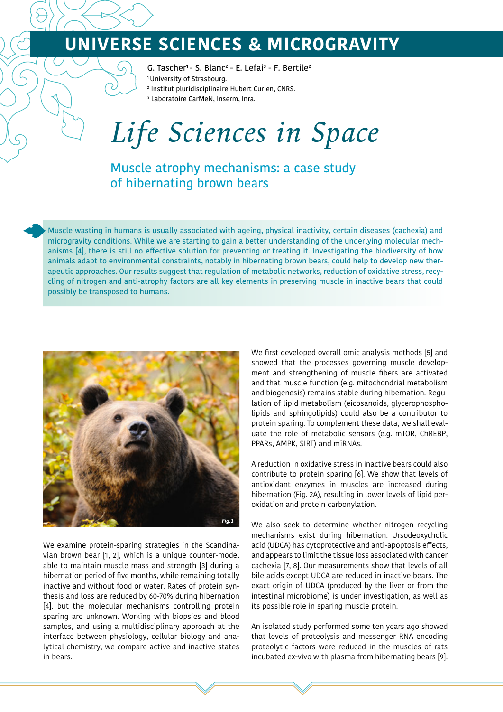## **UNIVERSE SCIENCES & MICROGRAVITY**

G. Tascher<sup>1</sup>- S. Blanc<sup>2</sup> - E. Lefai<sup>3</sup> - F. Bertile<sup>2</sup> 1 University of Strasbourg.

- 2 Institut pluridisciplinaire Hubert Curien, CNRS.
- 3 Laboratoire CarMeN, Inserm, Inra.

# *Life Sciences in Space*

Muscle atrophy mechanisms: a case study of hibernating brown bears

Muscle wasting in humans is usually associated with ageing, physical inactivity, certain diseases (cachexia) and microgravity conditions. While we are starting to gain a better understanding of the underlying molecular mechanisms [4], there is still no effective solution for preventing or treating it. Investigating the biodiversity of how animals adapt to environmental constraints, notably in hibernating brown bears, could help to develop new therapeutic approaches. Our results suggest that regulation of metabolic networks, reduction of oxidative stress, recycling of nitrogen and anti-atrophy factors are all key elements in preserving muscle in inactive bears that could possibly be transposed to humans.



We examine protein-sparing strategies in the Scandinavian brown bear [1, 2], which is a unique counter-model able to maintain muscle mass and strength [3] during a hibernation period of five months, while remaining totally inactive and without food or water. Rates of protein synthesis and loss are reduced by 60-70% during hibernation [4], but the molecular mechanisms controlling protein sparing are unknown. Working with biopsies and blood samples, and using a multidisciplinary approach at the interface between physiology, cellular biology and analytical chemistry, we compare active and inactive states in bears.

We first developed overall omic analysis methods [5] and showed that the processes governing muscle development and strengthening of muscle fibers are activated and that muscle function (e.g. mitochondrial metabolism and biogenesis) remains stable during hibernation. Regulation of lipid metabolism (eicosanoids, glycerophospholipids and sphingolipids) could also be a contributor to protein sparing. To complement these data, we shall evaluate the role of metabolic sensors (e.g. mTOR, ChREBP, PPARs, AMPK, SIRT) and miRNAs.

A reduction in oxidative stress in inactive bears could also contribute to protein sparing [6]. We show that levels of antioxidant enzymes in muscles are increased during hibernation (Fig. 2A), resulting in lower levels of lipid peroxidation and protein carbonylation.

We also seek to determine whether nitrogen recycling mechanisms exist during hibernation. Ursodeoxycholic acid (UDCA) has cytoprotective and anti-apoptosis effects, and appears to limit the tissue loss associated with cancer cachexia [7, 8]. Our measurements show that levels of all bile acids except UDCA are reduced in inactive bears. The exact origin of UDCA (produced by the liver or from the intestinal microbiome) is under investigation, as well as its possible role in sparing muscle protein.

An isolated study performed some ten years ago showed that levels of proteolysis and messenger RNA encoding proteolytic factors were reduced in the muscles of rats incubated ex-vivo with plasma from hibernating bears [9].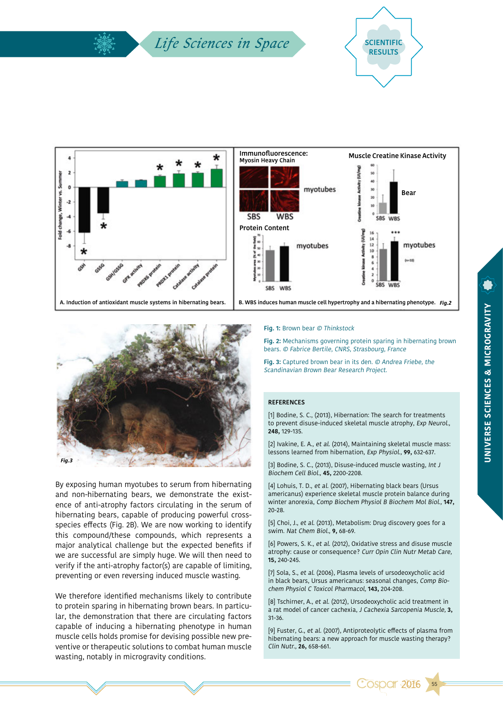### *Life Sciences in Space* and Scientific







By exposing human myotubes to serum from hibernating and non-hibernating bears, we demonstrate the existence of anti-atrophy factors circulating in the serum of hibernating bears, capable of producing powerful crossspecies effects (Fig. 2B). We are now working to identify this compound/these compounds, which represents a major analytical challenge but the expected benefits if we are successful are simply huge. We will then need to verify if the anti-atrophy factor(s) are capable of limiting, preventing or even reversing induced muscle wasting.

We therefore identified mechanisms likely to contribute to protein sparing in hibernating brown bears. In particular, the demonstration that there are circulating factors capable of inducing a hibernating phenotype in human muscle cells holds promise for devising possible new preventive or therapeutic solutions to combat human muscle wasting, notably in microgravity conditions.

**Fig. 1:** Brown bear © Thinkstock

**Fig. 2:** Mechanisms governing protein sparing in hibernating brown bears. © Fabrice Bertile, CNRS, Strasbourg, France

**Fig. 3:** Captured brown bear in its den. © Andrea Friebe, the Scandinavian Brown Bear Research Project.

#### **REFERENCES**

[1] Bodine, S. C., (2013), Hibernation: The search for treatments to prevent disuse-induced skeletal muscle atrophy, Exp Neurol., **248,** 129-135.

[2] Ivakine, E. A., et al. (2014), Maintaining skeletal muscle mass: lessons learned from hibernation, Exp Physiol., **99,** 632-637.

[3] Bodine, S. C., (2013), Disuse-induced muscle wasting, Int J Biochem Cell Biol., **45,** 2200-2208.

[4] Lohuis, T. D., et al. (2007), Hibernating black bears (Ursus americanus) experience skeletal muscle protein balance during winter anorexia, Comp Biochem Physiol B Biochem Mol Biol., **147,** 20-28.

[5] Choi, J., et al. (2013), Metabolism: Drug discovery goes for a swim. Nat Chem Biol., **9,** 68-69.

[6] Powers, S. K., et al. (2012), Oxidative stress and disuse muscle atrophy: cause or consequence? Curr Opin Clin Nutr Metab Care, **15,** 240-245.

[7] Sola, S., et al. (2006), Plasma levels of ursodeoxycholic acid in black bears, Ursus americanus: seasonal changes, Comp Biochem Physiol C Toxicol Pharmacol, **143,** 204-208.

[8] Tschirner, A., et al. (2012), Ursodeoxycholic acid treatment in a rat model of cancer cachexia, J Cachexia Sarcopenia Muscle, **3,** 31-36.

[9] Fuster, G., et al. (2007), Antiproteolytic effects of plasma from hibernating bears: a new approach for muscle wasting therapy? Clin Nutr., **26,** 658-661.

**Cospar 2016** 

55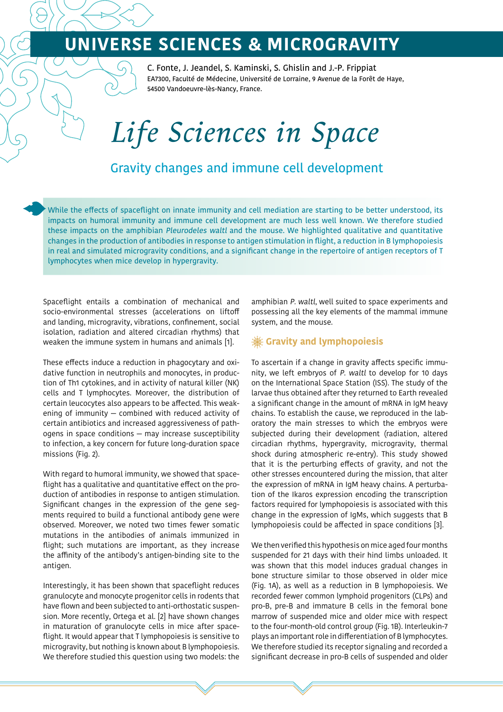## **UNIVERSE SCIENCES & MICROGRAVITY**

C. Fonte, J. Jeandel, S. Kaminski, S. Ghislin and J.-P. Frippiat EA7300, Faculté de Médecine, Université de Lorraine, 9 Avenue de la Forêt de Haye, 54500 Vandoeuvre-lès-Nancy, France.

# *Life Sciences in Space*

### Gravity changes and immune cell development

While the effects of spaceflight on innate immunity and cell mediation are starting to be better understood, its impacts on humoral immunity and immune cell development are much less well known. We therefore studied these impacts on the amphibian Pleurodeles waltl and the mouse. We highlighted qualitative and quantitative changes in the production of antibodies in response to antigen stimulation in flight, a reduction in B lymphopoiesis in real and simulated microgravity conditions, and a significant change in the repertoire of antigen receptors of T lymphocytes when mice develop in hypergravity.

Spaceflight entails a combination of mechanical and socio-environmental stresses (accelerations on liftoff and landing, microgravity, vibrations, confinement, social isolation, radiation and altered circadian rhythms) that weaken the immune system in humans and animals [1].

These effects induce a reduction in phagocytary and oxidative function in neutrophils and monocytes, in production of Th1 cytokines, and in activity of natural killer (NK) cells and T lymphocytes. Moreover, the distribution of certain leucocytes also appears to be affected. This weakening of immunity — combined with reduced activity of certain antibiotics and increased aggressiveness of pathogens in space conditions — may increase susceptibility to infection, a key concern for future long-duration space missions (Fig. 2).

With regard to humoral immunity, we showed that spaceflight has a qualitative and quantitative effect on the production of antibodies in response to antigen stimulation. Significant changes in the expression of the gene segments required to build a functional antibody gene were observed. Moreover, we noted two times fewer somatic mutations in the antibodies of animals immunized in flight; such mutations are important, as they increase the affinity of the antibody's antigen-binding site to the antigen.

Interestingly, it has been shown that spaceflight reduces granulocyte and monocyte progenitor cells in rodents that have flown and been subjected to anti-orthostatic suspension. More recently, Ortega et al. [2] have shown changes in maturation of granulocyte cells in mice after spaceflight. It would appear that T lymphopoiesis is sensitive to microgravity, but nothing is known about B lymphopoiesis. We therefore studied this question using two models: the

amphibian P. waltl, well suited to space experiments and possessing all the key elements of the mammal immune system, and the mouse.

#### **Gravity and lymphopoiesis**

To ascertain if a change in gravity affects specific immunity, we left embryos of P. waltl to develop for 10 days on the International Space Station (ISS). The study of the larvae thus obtained after they returned to Earth revealed a significant change in the amount of mRNA in IgM heavy chains. To establish the cause, we reproduced in the laboratory the main stresses to which the embryos were subjected during their development (radiation, altered circadian rhythms, hypergravity, microgravity, thermal shock during atmospheric re-entry). This study showed that it is the perturbing effects of gravity, and not the other stresses encountered during the mission, that alter the expression of mRNA in IgM heavy chains. A perturbation of the Ikaros expression encoding the transcription factors required for lymphopoiesis is associated with this change in the expression of IgMs, which suggests that B lymphopoiesis could be affected in space conditions [3].

We then verified this hypothesis on mice aged four months suspended for 21 days with their hind limbs unloaded. It was shown that this model induces gradual changes in bone structure similar to those observed in older mice (Fig. 1A), as well as a reduction in B lymphopoiesis. We recorded fewer common lymphoid progenitors (CLPs) and pro-B, pre-B and immature B cells in the femoral bone marrow of suspended mice and older mice with respect to the four-month-old control group (Fig. 1B). Interleukin-7 plays an important role in differentiation of B lymphocytes. We therefore studied its receptor signaling and recorded a significant decrease in pro-B cells of suspended and older